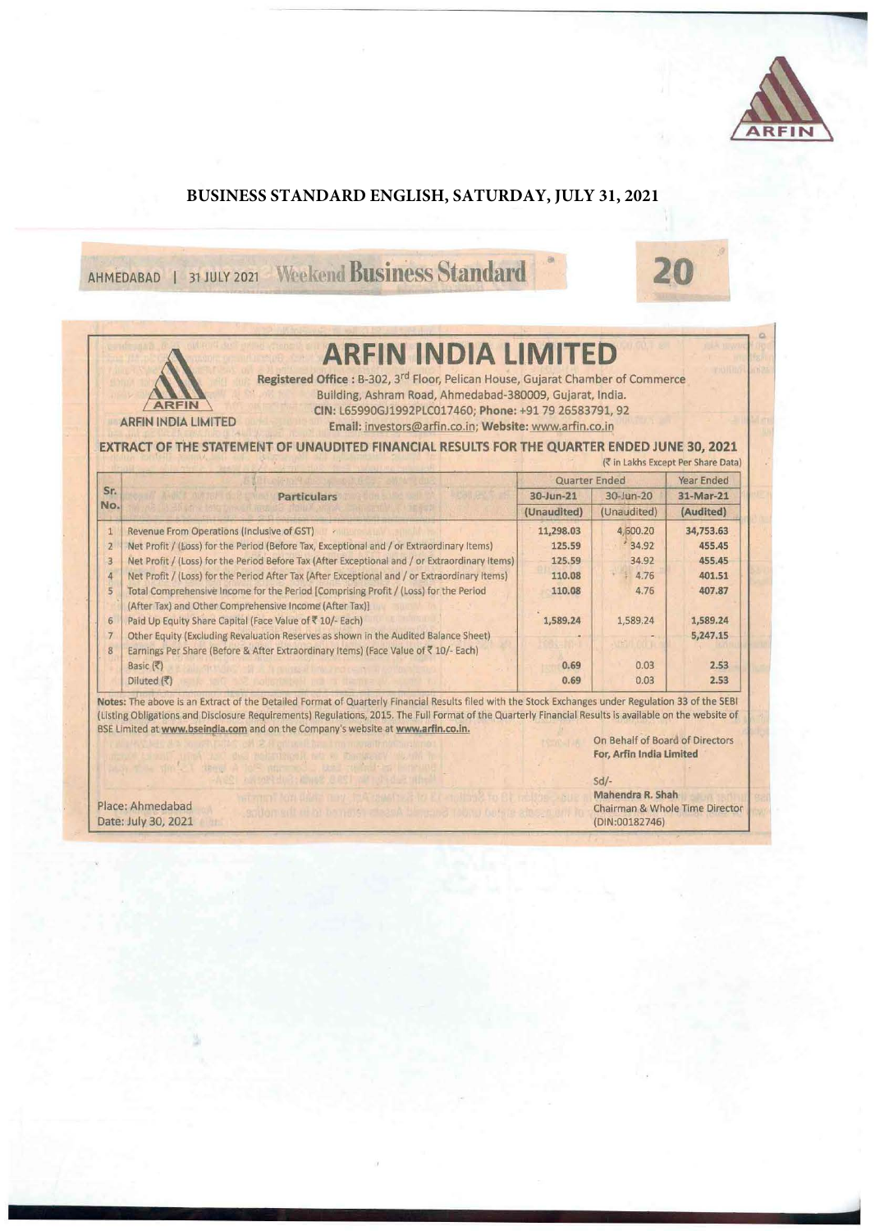

Q

## **BUSINESS STANDARD ENGLISH, SATURDAY, JULY 31, 2021**

AHMEDABAD 1 31 JULY 2021 Weekend Business Standard



**ARFIN INDIA LIMITED** 

Registered Office : B-302, 3rd Floor, Pelican House, Gujarat Chamber of Commerce Building, Ashram Road, Ahmedabad-380009, Gujarat, India. CIN: L65990GJ1992PLC017460; Phone: +917926583791, 92

ARFIN INDIA LIMITED Email: investors@arfin.co.in; Website: www.arfin.co.in

**ARFIN** 

**EXTRACT OF THE STATEMENT OF UNAUDITED FINANCIAL RESULTS FOR THE QUARTER ENDED JUNE 30, 2021** 

|                 |                                                                                                                                                 |                          |                                | (₹ in Lakhs Except Per Share Data) |
|-----------------|-------------------------------------------------------------------------------------------------------------------------------------------------|--------------------------|--------------------------------|------------------------------------|
|                 |                                                                                                                                                 | Quarter Ended            |                                | Year Ended                         |
| Sr.             | <b>Particulars</b>                                                                                                                              | 30-Jun-21<br>(Unaudited) | $30 - 10n - 20$<br>(Unaudited) | 31-Mar-21<br>(Audited)             |
| No.             |                                                                                                                                                 |                          |                                |                                    |
| $\mathbf{1}$    | Revenue From Operations (Inclusive of GST)                                                                                                      | 11,298.03                | 4,600.20                       | 34,753.63                          |
| $\overline{2}$  | Net Profit / (Loss) for the Period (Before Tax, Exceptional and / or Extraordinary Items)                                                       | 125.59                   | 34.92                          | 455.45                             |
| $\overline{3}$  | Net Profit / (Loss) for the Period Before Tax (After Exceptional and / or Extraordinary Items)                                                  | 125.59                   | 34.92                          | 455.45                             |
| 4               | Net Profit / (Loss) for the Period After Tax (After Exceptional and / or Extraordinary Items)                                                   | 110.08                   | 4.76                           | 401.51                             |
| 5               | Total Comprehensive Income for the Period [Comprising Profit / (Loss) for the Period<br>(After Tax) and Other Comprehensive Income (After Tax)] | 110.08                   | 4.76                           | 407.87                             |
| $6\overline{6}$ | Paid Up Equity Share Capital (Face Value of ₹ 10/- Each)                                                                                        | 1,589.24                 | 1,589.24                       | 1,589.24                           |
| $\overline{7}$  | Other Equity (Excluding Revaluation Reserves as shown in the Audited Balance Sheet)                                                             |                          |                                | 5,247.15                           |
| 8               | Earnings Per Share (Before & After Extraordinary Items) (Face Value of ₹10/- Each)                                                              |                          |                                |                                    |
|                 | Basic (そ)                                                                                                                                       | 0.69                     | 0.03                           | 2.53                               |
|                 | Diluted (そ)                                                                                                                                     | 0.69                     | 0.03                           | 2.53                               |

Notes: The above is an Extract of the Detailed Format of Quarterly Financial Results filed with the Stock Exchanges under Regulation 33 of the SEBI (Listing Obligations and Disclosure Requirements) Regulations, 2015. The Full Format of the Quarterly Financial Results is available on the website of BSE Limited at www.bseindia.com and on the Company's website at www.arfin.co.in.

On Behalf of Board of Directors For, Arfin India Limited

|                     | $Sd$ /-                        |
|---------------------|--------------------------------|
|                     | Mahendra R. Shah               |
| Place: Ahmedabad    | Chairman & Whole Time Director |
| Date: July 30, 2021 | (DIN:00182746)                 |